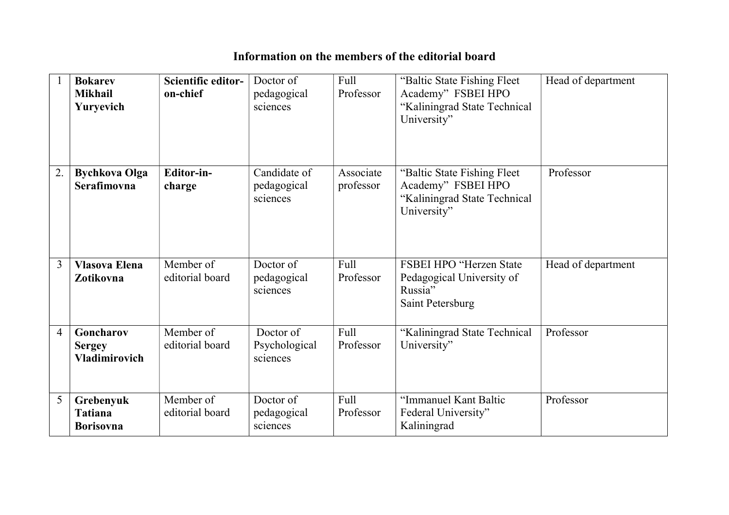## Information on the members of the editorial board

|                | <b>Bokarev</b><br><b>Mikhail</b><br>Yuryevich      | Scientific editor-<br>on-chief | Doctor of<br>pedagogical<br>sciences    | Full<br>Professor      | "Baltic State Fishing Fleet<br>Academy" FSBEI HPO<br>"Kaliningrad State Technical<br>University"  | Head of department |
|----------------|----------------------------------------------------|--------------------------------|-----------------------------------------|------------------------|---------------------------------------------------------------------------------------------------|--------------------|
| 2.             | <b>Bychkova Olga</b><br>Serafimovna                | Editor-in-<br>charge           | Candidate of<br>pedagogical<br>sciences | Associate<br>professor | "Baltic State Fishing Fleet"<br>Academy" FSBEI HPO<br>"Kaliningrad State Technical<br>University" | Professor          |
| $\overline{3}$ | <b>Vlasova Elena</b><br>Zotikovna                  | Member of<br>editorial board   | Doctor of<br>pedagogical<br>sciences    | Full<br>Professor      | FSBEI HPO "Herzen State<br>Pedagogical University of<br>Russia"<br>Saint Petersburg               | Head of department |
| 4              | Goncharov<br><b>Sergey</b><br><b>Vladimirovich</b> | Member of<br>editorial board   | Doctor of<br>Psychological<br>sciences  | Full<br>Professor      | "Kaliningrad State Technical<br>University"                                                       | Professor          |
| 5              | Grebenyuk<br><b>Tatiana</b><br><b>Borisovna</b>    | Member of<br>editorial board   | Doctor of<br>pedagogical<br>sciences    | Full<br>Professor      | "Immanuel Kant Baltic<br>Federal University"<br>Kaliningrad                                       | Professor          |